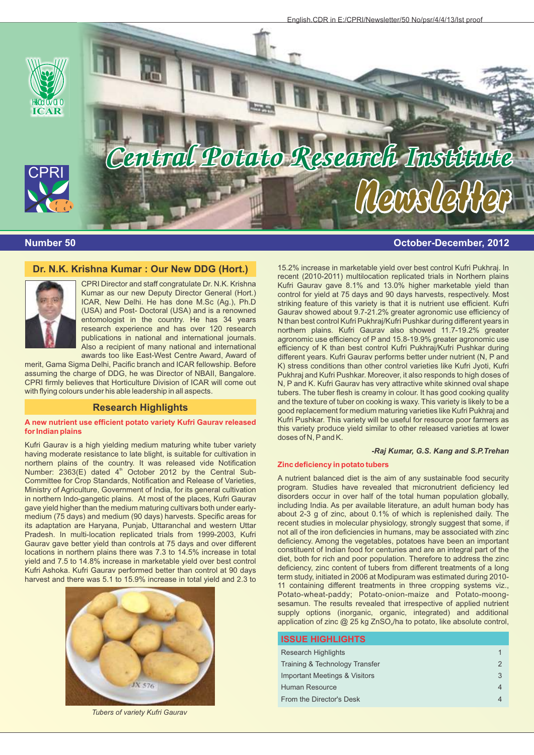

# **Number 50 October-December, 2012**

## **Dr. N.K. Krishna Kumar : Our New DDG (Hort.)**



CPRI Director and staff congratulate Dr. N.K. Krishna Kumar as our new Deputy Director General (Hort.) ICAR, New Delhi. He has done M.Sc (Ag.), Ph.D (USA) and Post- Doctoral (USA) and is a renowned entomologist in the country. He has 34 years research experience and has over 120 research publications in national and international journals. Also a recipient of many national and international awards too like East-West Centre Award, Award of

merit, Gama Sigma Delhi, Pacific branch and ICAR fellowship. Before assuming the charge of DDG, he was Director of NBAII, Bangalore. CPRI firmly believes that Horticulture Division of ICAR will come out with flying colours under his able leadership in all aspects.

## **Research Highlights**

#### **A new nutrient use efficient potato variety Kufri Gaurav released for Indian plains**

Kufri Gaurav is a high yielding medium maturing white tuber variety having moderate resistance to late blight, is suitable for cultivation in northern plains of the country. It was released vide Notification Number:  $2363(E)$  dated  $4^{\text{th}}$  October 2012 by the Central Sub-Committee for Crop Standards, Notification and Release of Varieties, Ministry of Agriculture, Government of India, for its general cultivation in northern Indo-gangetic plains. At most of the places, Kufri Gaurav gave yield higher than the medium maturing cultivars both under earlymedium (75 days) and medium (90 days) harvests. Specific areas for its adaptation are Haryana, Punjab, Uttaranchal and western Uttar Pradesh. In multi-location replicated trials from 1999-2003, Kufri Gaurav gave better yield than controls at 75 days and over different locations in northern plains there was 7.3 to 14.5% increase in total yield and 7.5 to 14.8% increase in marketable yield over best control Kufri Ashoka. Kufri Gaurav performed better than control at 90 days harvest and there was 5.1 to 15.9% increase in total yield and 2.3 to



*Tubers of variety Kufri Gaurav*

15.2% increase in marketable yield over best control Kufri Pukhraj. In recent (2010-2011) multilocation replicated trials in Northern plains Kufri Gaurav gave 8.1% and 13.0% higher marketable yield than control for yield at 75 days and 90 days harvests, respectively. Most striking feature of this variety is that it is nutrient use efficient. Kufri Gaurav showed about 9.7-21.2% greater agronomic use efficiency of N than best control Kufri Pukhraj/Kufri Pushkar during different years in northern plains. Kufri Gaurav also showed 11.7-19.2% greater agronomic use efficiency of P and 15.8-19.9% greater agronomic use efficiency of K than best control Kufri Pukhraj/Kufri Pushkar during different years. Kufri Gaurav performs better under nutrient (N, P and K) stress conditions than other control varieties like Kufri Jyoti, Kufri Pukhraj and Kufri Pushkar. Moreover, it also responds to high doses of N, P and K. Kufri Gaurav has very attractive white skinned oval shape tubers. The tuber flesh is creamy in colour. It has good cooking quality and the texture of tuber on cooking is waxy. This variety is likely to be a good replacement for medium maturing varieties like Kufri Pukhraj and Kufri Pushkar. This variety will be useful for resource poor farmers as this variety produce yield similar to other released varieties at lower doses of N, Pand K.

## **-***Raj Kumar, G.S. Kang and S.P.Trehan*

## **Zinc deficiency in potato tubers**

A nutrient balanced diet is the aim of any sustainable food security program. Studies have revealed that micronutrient deficiency led disorders occur in over half of the total human population globally, including India. As per available literature, an adult human body has about 2-3 g of zinc, about 0.1% of which is replenished daily. The recent studies in molecular physiology, strongly suggest that some, if not all of the iron deficiencies in humans, may be associated with zinc deficiency. Among the vegetables, potatoes have been an important constituent of Indian food for centuries and are an integral part of the diet, both for rich and poor population. Therefore to address the zinc deficiency, zinc content of tubers from different treatments of a long term study, initiated in 2006 at Modipuram was estimated during 2010- 11 containing different treatments in three cropping systems viz., Potato-wheat-paddy; Potato-onion-maize and Potato-moongsesamun. The results revealed that irrespective of applied nutrient supply options (inorganic, organic, integrated) and additional application of zinc  $@$  25 kg ZnSO<sub>4</sub>/ha to potato, like absolute control,

| <b>ISSUE HIGHLIGHTS</b>        |               |
|--------------------------------|---------------|
| <b>Research Highlights</b>     | 1             |
| Training & Technology Transfer | $\mathcal{P}$ |
| Important Meetings & Visitors  | 3             |
| Human Resource                 | 4             |
| From the Director's Desk       | 4             |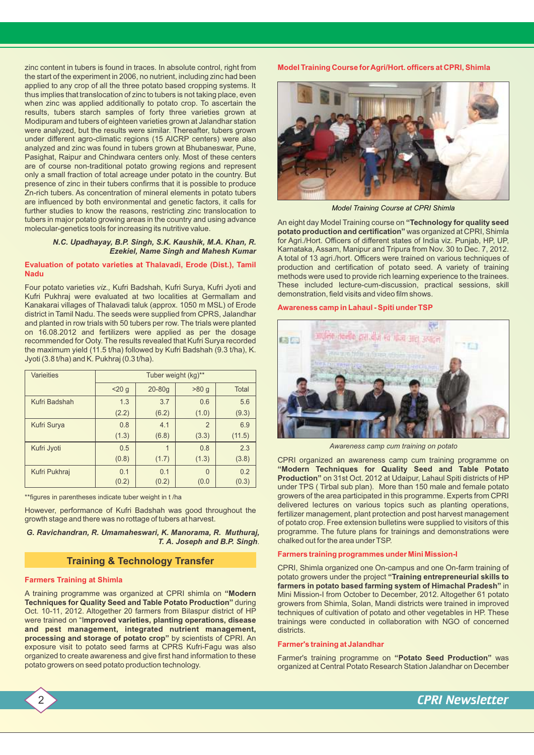zinc content in tubers is found in traces. In absolute control, right from the start of the experiment in 2006, no nutrient, including zinc had been applied to any crop of all the three potato based cropping systems. It thus implies that translocation of zinc to tubers is not taking place, even when zinc was applied additionally to potato crop. To ascertain the results, tubers starch samples of forty three varieties grown at Modipuram and tubers of eighteen varieties grown at Jalandhar station were analyzed, but the results were similar. Thereafter, tubers grown under different agro-climatic regions (15 AICRP centers) were also analyzed and zinc was found in tubers grown at Bhubaneswar, Pune, Pasighat, Raipur and Chindwara centers only. Most of these centers are of course non-traditional potato growing regions and represent only a small fraction of total acreage under potato in the country. But presence of zinc in their tubers confirms that it is possible to produce Zn-rich tubers. As concentration of mineral elements in potato tubers are influenced by both environmental and genetic factors, it calls for further studies to know the reasons, restricting zinc translocation to tubers in major potato growing areas in the country and using advance molecular-genetics tools for increasing its nutritive value.

## *N.C. Upadhayay, B.P. Singh, S.K. Kaushik, M.A. Khan, R. Ezekiel, Name Singh and Mahesh Kumar*

## **Evaluation of potato varieties at Thalavadi, Erode (Dist.), Tamil Nadu**

Four potato varieties *viz.,* Kufri Badshah, Kufri Surya, Kufri Jyoti and Kufri Pukhraj were evaluated at two localities at Germallam and Kanakarai villages of Thalavadi taluk (approx. 1050 m MSL) of Erode district in Tamil Nadu. The seeds were supplied from CPRS, Jalandhar and planted in row trials with 50 tubers per row. The trials were planted on 16.08.2012 and fertilizers were applied as per the dosage recommended for Ooty. The results revealed that Kufri Surya recorded the maximum yield (11.5 t/ha) followed by Kufri Badshah (9.3 t/ha), K. Jyoti (3.8 t/ha) and K. Pukhraj (0.3 t/ha).

| <b>Varieities</b> | Tuber weight (kg)** |          |                |              |
|-------------------|---------------------|----------|----------------|--------------|
|                   | 20 <sub>g</sub>     | $20-80q$ | >80 g          | <b>Total</b> |
| Kufri Badshah     | 1.3                 | 3.7      | 0.6            | 5.6          |
|                   | (2.2)               | (6.2)    | (1.0)          | (9.3)        |
| Kufri Surya       | 0.8                 | 4.1      | $\overline{2}$ | 6.9          |
|                   | (1.3)               | (6.8)    | (3.3)          | (11.5)       |
| Kufri Jyoti       | 0.5                 | 1        | 0.8            | 2.3          |
|                   | (0.8)               | (1.7)    | (1.3)          | (3.8)        |
| Kufri Pukhraj     | 0.1                 | 0.1      | $\Omega$       | 0.2          |
|                   | (0.2)               | (0.2)    | (0.0)          | (0.3)        |

\*\*figures in parentheses indicate tuber weight in t /ha

However, performance of Kufri Badshah was good throughout the growth stage and there was no rottage of tubers at harvest.

*G. Ravichandran, R. Umamaheswari, K. Manorama, R. Muthuraj, T. A. Joseph and B.P. Singh*.

## **Training & Technology Transfer**

## **Farmers Training at Shimla**

A training programme was organized at CPRI shimla on **"Modern Techniques for Quality Seed and Table Potato Production"** during Oct. 10-11, 2012. Altogether 20 farmers from Bilaspur district of HP were trained on "I**mproved varieties, planting operations, disease and pest management, integrated nutrient management, processing and storage of potato crop"** by scientists of CPRI. An exposure visit to potato seed farms at CPRS Kufri-Fagu was also organized to create awareness and give first hand information to these potato growers on seed potato production technology.

## **Model Training Course for Agri/Hort. officers at CPRI, Shimla**



*Model Training Course at CPRI Shimla*

An eight day Model Training course on **"Technology for quality seed potato production and certification"** was organized at CPRI, Shimla for Agri./Hort. Officers of different states of India viz. Punjab, HP, UP, Karnataka, Assam, Manipur and Tripura from Nov. 30 to Dec. 7, 2012. A total of 13 agri./hort. Officers were trained on various techniques of production and certification of potato seed. A variety of training methods were used to provide rich learning experience to the trainees. These included lecture-cum-discussion, practical sessions, skill demonstration, field visits and video film shows.

## **Awareness camp in Lahaul - Spiti under TSP**



*Awareness camp cum training on potato* 

CPRI organized an awareness camp cum training programme on **"Modern Techniques for Quality Seed and Table Potato Production"** on 31st Oct. 2012 at Udaipur, Lahaul Spiti districts of HP under TPS ( Tirbal sub plan). More than 150 male and female potato growers of the area participated in this programme. Experts from CPRI delivered lectures on various topics such as planting operations, fertilizer management, plant protection and post harvest management of potato crop. Free extension bulletins were supplied to visitors of this programme. The future plans for trainings and demonstrations were chalked out for the area under TSP.

## **Farmers training programmes under Mini Mission-I**

CPRI, Shimla organized one On-campus and one On-farm training of potato growers under the project **"Training entrepreneurial skills to farmers in potato based farming system of Himachal Pradesh"** in Mini Mission-I from October to December, 2012. Altogether 61 potato growers from Shimla, Solan, Mandi districts were trained in improved techniques of cultivation of potato and other vegetables in HP. These trainings were conducted in collaboration with NGO of concerned districts.

## **Farmer's training at Jalandhar**

Farmer's training programme on **"Potato Seed Production"** was organized at Central Potato Research Station Jalandhar on December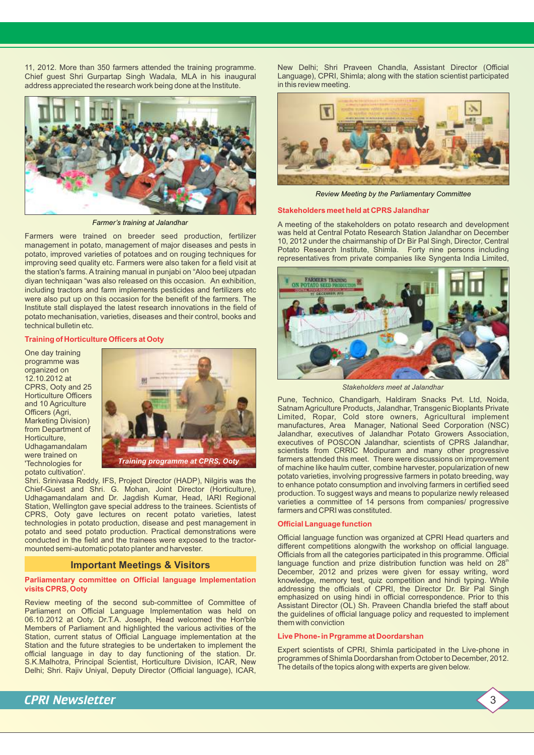11, 2012. More than 350 farmers attended the training programme. Chief guest Shri Gurpartap Singh Wadala, MLA in his inaugural address appreciated the research work being done at the Institute.



*Farmer's training at Jalandhar*

Farmers were trained on breeder seed production, fertilizer management in potato, management of major diseases and pests in potato, improved varieties of potatoes and on rouging techniques for improving seed quality etc. Farmers were also taken for a field visit at the station's farms. A training manual in punjabi on "Aloo beej utpadan diyan techniqaan "was also released on this occasion. An exhibition, including tractors and farm implements pesticides and fertilizers etc were also put up on this occasion for the benefit of the farmers. The Institute stall displayed the latest research innovations in the field of potato mechanisation, varieties, diseases and their control, books and technical bulletin etc.

## **Training of Horticulture Officers at Ooty**

One day training programme was organized on 12.10.2012 at CPRS, Ooty and 25 Horticulture Officers and 10 Agriculture Officers (Agri, Marketing Division) from Department of Horticulture, Udhagamandalam were trained on 'Technologies for potato cultivation'.



Shri. Srinivasa Reddy, IFS, Project Director (HADP), Nilgiris was the Chief-Guest and Shri. G. Mohan, Joint Director (Horticulture), Udhagamandalam and Dr. Jagdish Kumar, Head, IARI Regional Station, Wellington gave special address to the trainees. Scientists of CPRS, Ooty gave lectures on recent potato varieties, latest technologies in potato production, disease and pest management in potato and seed potato production. Practical demonstrations were conducted in the field and the trainees were exposed to the tractormounted semi-automatic potato planter and harvester.

## **Important Meetings & Visitors**

#### **Parliamentary committee on Official language Implementation visits CPRS, Ooty**

Review meeting of the second sub-committee of Committee of Parliament on Official Language Implementation was held on 06.10.2012 at Ooty. Dr.T.A. Joseph, Head welcomed the Hon'ble Members of Parliament and highlighted the various activities of the Station, current status of Official Language implementation at the Station and the future strategies to be undertaken to implement the official language in day to day functioning of the station. Dr. S.K.Malhotra, Principal Scientist, Horticulture Division, ICAR, New Delhi; Shri. Rajiv Uniyal, Deputy Director (Official language), ICAR,

New Delhi; Shri Praveen Chandla, Assistant Director (Official Language), CPRI, Shimla; along with the station scientist participated in this review meeting.



*Review Meeting by the Parliamentary Committee* 

## **Stakeholders meet held at CPRS Jalandhar**

A meeting of the stakeholders on potato research and development was held at Central Potato Research Station Jalandhar on December 10, 2012 under the chairmanship of Dr Bir Pal Singh, Director, Central Potato Research Institute, Shimla. Forty nine persons including representatives from private companies like Syngenta India Limited,



*Stakeholders meet at Jalandhar*

Pune, Technico, Chandigarh, Haldiram Snacks Pvt. Ltd, Noida, Satnam Agriculture Products, Jalandhar, Transgenic Bioplants Private Limited, Ropar, Cold store owners, Agricultural implement manufactures, Area Manager, National Seed Corporation (NSC) Jalandhar, executives of Jalandhar Potato Growers Association, executives of POSCON Jalandhar, scientists of CPRS Jalandhar, scientists from CRRIC Modipuram and many other progressive farmers attended this meet. There were discussions on improvement of machine like haulm cutter, combine harvester, popularization of new potato varieties, involving progressive farmers in potato breeding, way to enhance potato consumption and involving farmers in certified seed production. To suggest ways and means to popularize newly released varieties a committee of 14 persons from companies/ progressive farmers and CPRI was constituted.

## **Official Language function**

Official language function was organized at CPRI Head quarters and different competitions alongwith the workshop on official language. Officials from all the categories participated in this programme. Official language function and prize distribution function was held on 28<sup>th</sup> December, 2012 and prizes were given for essay writing, word knowledge, memory test, quiz competition and hindi typing. While addressing the officials of CPRI, the Director Dr. Bir Pal Singh emphasized on using hindi in official correspondence. Prior to this Assistant Director (OL) Sh. Praveen Chandla briefed the staff about the guidelines of official language policy and requested to implement them with conviction

## **Live Phone- in Prgramme at Doordarshan**

Expert scientists of CPRI, Shimla participated in the Live-phone in programmes of Shimla Doordarshan from October to December, 2012. The details of the topics along with experts are given below.